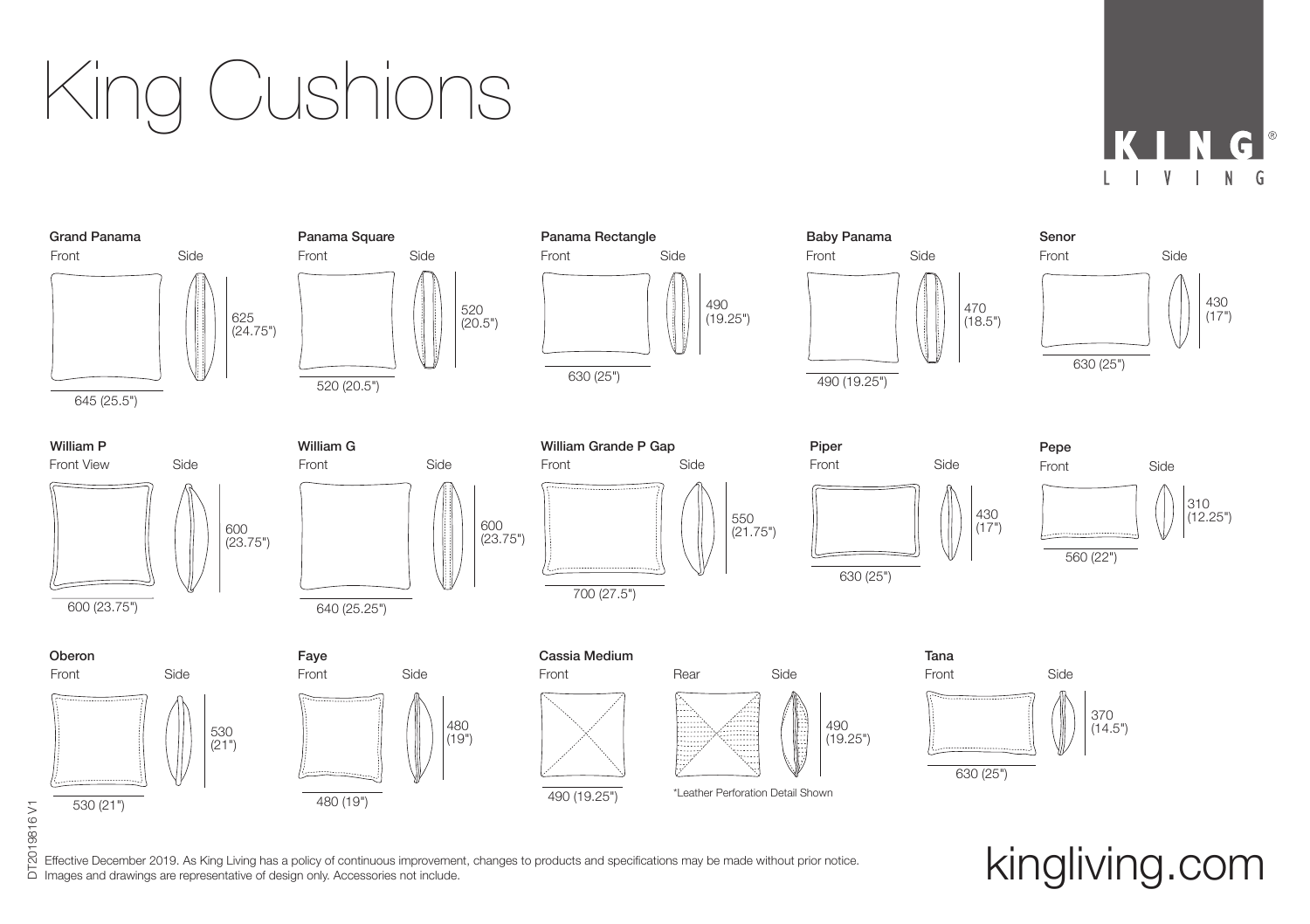King Cushions

G



Effective December 2019. As King Living has a policy of continuous improvement, changes to products and specifications may be made without prior notice. DT2019816 V1 Effective December 2019. As King Living has a policy of continuous improvement, changes to products and specifications may be made without prior notice. Kingliving that  $\kappa$